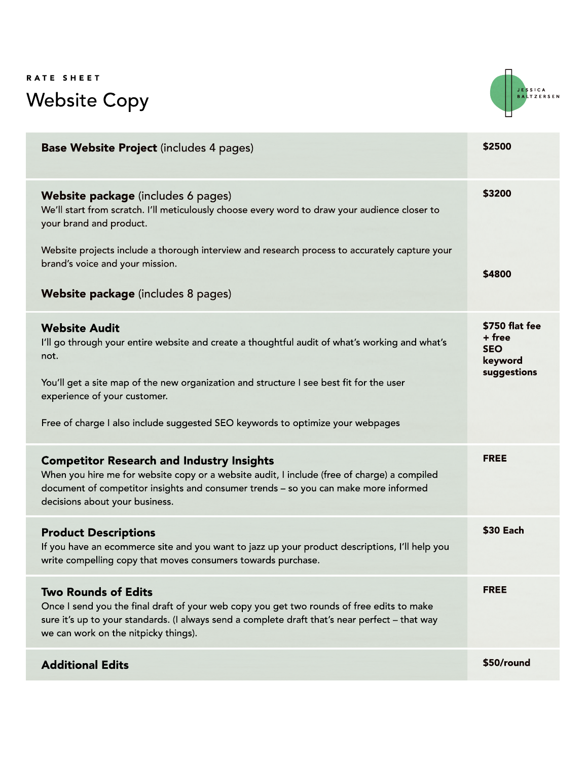#### RATE SHEET Website Copy



| <b>Base Website Project (includes 4 pages)</b>                                                                                                                                                                                                                           | \$2500                                            |
|--------------------------------------------------------------------------------------------------------------------------------------------------------------------------------------------------------------------------------------------------------------------------|---------------------------------------------------|
| Website package (includes 6 pages)<br>We'll start from scratch. I'll meticulously choose every word to draw your audience closer to<br>your brand and product.                                                                                                           | \$3200                                            |
| Website projects include a thorough interview and research process to accurately capture your<br>brand's voice and your mission.                                                                                                                                         | \$4800                                            |
| <b>Website package</b> (includes 8 pages)                                                                                                                                                                                                                                |                                                   |
| <b>Website Audit</b><br>I'll go through your entire website and create a thoughtful audit of what's working and what's<br>not.                                                                                                                                           | \$750 flat fee<br>+ free<br><b>SEO</b><br>keyword |
| You'll get a site map of the new organization and structure I see best fit for the user<br>experience of your customer.                                                                                                                                                  | suggestions                                       |
| Free of charge I also include suggested SEO keywords to optimize your webpages                                                                                                                                                                                           |                                                   |
| <b>Competitor Research and Industry Insights</b><br>When you hire me for website copy or a website audit, I include (free of charge) a compiled<br>document of competitor insights and consumer trends - so you can make more informed<br>decisions about your business. | <b>FREE</b>                                       |
| <b>Product Descriptions</b><br>If you have an ecommerce site and you want to jazz up your product descriptions, I'll help you<br>write compelling copy that moves consumers towards purchase.                                                                            | \$30 Each                                         |
| <b>Two Rounds of Edits</b><br>Once I send you the final draft of your web copy you get two rounds of free edits to make<br>sure it's up to your standards. (I always send a complete draft that's near perfect - that way<br>we can work on the nitpicky things).        | <b>FREE</b>                                       |
| <b>Additional Edits</b>                                                                                                                                                                                                                                                  | \$50/round                                        |